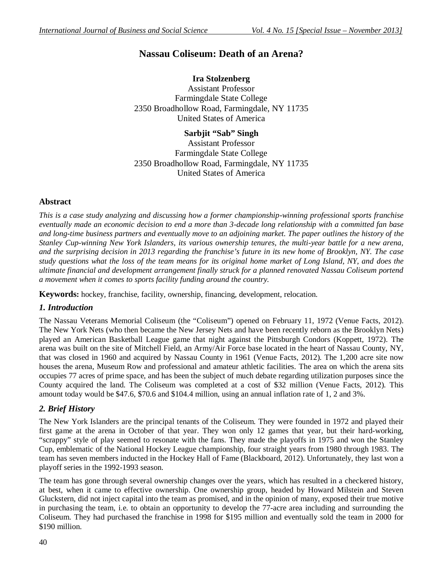# **Nassau Coliseum: Death of an Arena?**

# **Ira Stolzenberg**

Assistant Professor Farmingdale State College 2350 Broadhollow Road, Farmingdale, NY 11735 United States of America

**Sarbjit "Sab" Singh** Assistant Professor Farmingdale State College 2350 Broadhollow Road, Farmingdale, NY 11735 United States of America

### **Abstract**

*This is a case study analyzing and discussing how a former championship-winning professional sports franchise eventually made an economic decision to end a more than 3-decade long relationship with a committed fan base and long-time business partners and eventually move to an adjoining market. The paper outlines the history of the Stanley Cup-winning New York Islanders, its various ownership tenures, the multi-year battle for a new arena, and the surprising decision in 2013 regarding the franchise's future in its new home of Brooklyn, NY. The case study questions what the loss of the team means for its original home market of Long Island, NY, and does the ultimate financial and development arrangement finally struck for a planned renovated Nassau Coliseum portend a movement when it comes to sports facility funding around the country.*

**Keywords:** hockey, franchise, facility, ownership, financing, development, relocation.

### *1. Introduction*

The Nassau Veterans Memorial Coliseum (the "Coliseum") opened on February 11, 1972 (Venue Facts, 2012). The New York Nets (who then became the New Jersey Nets and have been recently reborn as the Brooklyn Nets) played an American Basketball League game that night against the Pittsburgh Condors (Koppett, 1972). The arena was built on the site of Mitchell Field, an Army/Air Force base located in the heart of Nassau County, NY, that was closed in 1960 and acquired by Nassau County in 1961 (Venue Facts, 2012). The 1,200 acre site now houses the arena, Museum Row and professional and amateur athletic facilities. The area on which the arena sits occupies 77 acres of prime space, and has been the subject of much debate regarding utilization purposes since the County acquired the land. The Coliseum was completed at a cost of \$32 million (Venue Facts, 2012). This amount today would be \$47.6, \$70.6 and \$104.4 million, using an annual inflation rate of 1, 2 and 3%.

## *2. Brief History*

The New York Islanders are the principal tenants of the Coliseum. They were founded in 1972 and played their first game at the arena in October of that year. They won only 12 games that year, but their hard-working, "scrappy" style of play seemed to resonate with the fans. They made the playoffs in 1975 and won the Stanley Cup, emblematic of the National Hockey League championship, four straight years from 1980 through 1983. The team has seven members inducted in the Hockey Hall of Fame (Blackboard, 2012). Unfortunately, they last won a playoff series in the 1992-1993 season.

The team has gone through several ownership changes over the years, which has resulted in a checkered history, at best, when it came to effective ownership. One ownership group, headed by Howard Milstein and Steven Gluckstern, did not inject capital into the team as promised, and in the opinion of many, exposed their true motive in purchasing the team, i.e. to obtain an opportunity to develop the 77-acre area including and surrounding the Coliseum. They had purchased the franchise in 1998 for \$195 million and eventually sold the team in 2000 for \$190 million.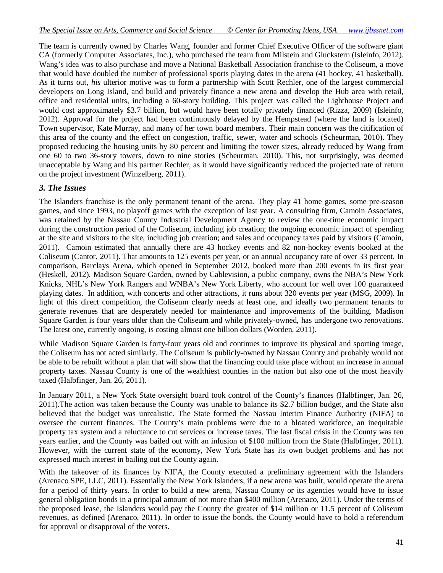The team is currently owned by Charles Wang, founder and former Chief Executive Officer of the software giant CA (formerly Computer Associates, Inc.), who purchased the team from Milstein and Gluckstern (Isleinfo, 2012). Wang's idea was to also purchase and move a National Basketball Association franchise to the Coliseum, a move that would have doubled the number of professional sports playing dates in the arena (41 hockey, 41 basketball). As it turns out, *his* ulterior motive was to form a partnership with Scott Rechler, one of the largest commercial developers on Long Island, and build and privately finance a new arena and develop the Hub area with retail, office and residential units, including a 60-story building. This project was called the Lighthouse Project and would cost approximately \$3.7 billion, but would have been totally privately financed (Rizza, 2009) (Isleinfo, 2012). Approval for the project had been continuously delayed by the Hempstead (where the land is located) Town supervisor, Kate Murray, and many of her town board members. Their main concern was the citification of this area of the county and the effect on congestion, traffic, sewer, water and schools (Scheurman, 2010). They proposed reducing the housing units by 80 percent and limiting the tower sizes, already reduced by Wang from one 60 to two 36-story towers, down to nine stories (Scheurman, 2010). This, not surprisingly, was deemed unacceptable by Wang and his partner Rechler, as it would have significantly reduced the projected rate of return on the project investment (Winzelberg, 2011).

#### *3. The Issues*

The Islanders franchise is the only permanent tenant of the arena. They play 41 home games, some pre-season games, and since 1993, no playoff games with the exception of last year. A consulting firm, Camoin Associates, was retained by the Nassau County Industrial Development Agency to review the one-time economic impact during the construction period of the Coliseum, including job creation; the ongoing economic impact of spending at the site and visitors to the site, including job creation; and sales and occupancy taxes paid by visitors (Camoin, 2011). Camoin estimated that annually there are 43 hockey events and 82 non-hockey events booked at the Coliseum (Cantor, 2011). That amounts to 125 events per year, or an annual occupancy rate of over 33 percent. In comparison, Barclays Arena, which opened in September 2012, booked more than 200 events in its first year (Heskell, 2012). Madison Square Garden, owned by Cablevision, a public company, owns the NBA's New York Knicks, NHL's New York Rangers and WNBA's New York Liberty, who account for well over 100 guaranteed playing dates. In addition, with concerts and other attractions, it runs about 320 events per year (MSG, 2009). In light of this direct competition, the Coliseum clearly needs at least one, and ideally two permanent tenants to generate revenues that are desperately needed for maintenance and improvements of the building. Madison Square Garden is four years older than the Coliseum and while privately-owned, has undergone two renovations. The latest one, currently ongoing, is costing almost one billion dollars (Worden, 2011).

While Madison Square Garden is forty-four years old and continues to improve its physical and sporting image, the Coliseum has not acted similarly. The Coliseum is publicly-owned by Nassau County and probably would not be able to be rebuilt without a plan that will show that the financing could take place without an increase in annual property taxes. Nassau County is one of the wealthiest counties in the nation but also one of the most heavily taxed (Halbfinger, Jan. 26, 2011).

In January 2011, a New York State oversight board took control of the County's finances (Halbfinger, Jan. 26, 2011).The action was taken because the County was unable to balance its \$2.7 billion budget, and the State also believed that the budget was unrealistic. The State formed the Nassau Interim Finance Authority (NIFA) to oversee the current finances. The County's main problems were due to a bloated workforce, an inequitable property tax system and a reluctance to cut services or increase taxes. The last fiscal crisis in the County was ten years earlier, and the County was bailed out with an infusion of \$100 million from the State (Halbfinger, 2011). However, with the current state of the economy, New York State has its own budget problems and has not expressed much interest in bailing out the County again.

With the takeover of its finances by NIFA, the County executed a preliminary agreement with the Islanders (Arenaco SPE, LLC, 2011). Essentially the New York Islanders, if a new arena was built, would operate the arena for a period of thirty years. In order to build a new arena, Nassau County or its agencies would have to issue general obligation bonds in a principal amount of not more than \$400 million (Arenaco, 2011). Under the terms of the proposed lease, the Islanders would pay the County the greater of \$14 million or 11.5 percent of Coliseum revenues, as defined (Arenaco, 2011). In order to issue the bonds, the County would have to hold a referendum for approval or disapproval of the voters.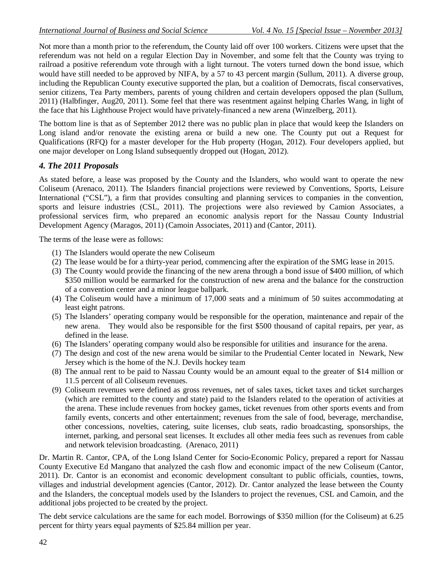Not more than a month prior to the referendum, the County laid off over 100 workers. Citizens were upset that the referendum was not held on a regular Election Day in November, and some felt that the County was trying to railroad a positive referendum vote through with a light turnout. The voters turned down the bond issue, which would have still needed to be approved by NIFA, by a 57 to 43 percent margin (Sullum, 2011). A diverse group, including the Republican County executive supported the plan, but a coalition of Democrats, fiscal conservatives, senior citizens, Tea Party members, parents of young children and certain developers opposed the plan (Sullum, 2011) (Halbfinger, Aug20, 2011). Some feel that there was resentment against helping Charles Wang, in light of the face that his Lighthouse Project would have privately-financed a new arena (Winzelberg, 2011).

The bottom line is that as of September 2012 there was no public plan in place that would keep the Islanders on Long island and/or renovate the existing arena or build a new one. The County put out a Request for Qualifications (RFQ) for a master developer for the Hub property (Hogan, 2012). Four developers applied, but one major developer on Long Island subsequently dropped out (Hogan, 2012).

#### *4. The 2011 Proposals*

As stated before, a lease was proposed by the County and the Islanders, who would want to operate the new Coliseum (Arenaco, 2011). The Islanders financial projections were reviewed by Conventions, Sports, Leisure International ("CSL"), a firm that provides consulting and planning services to companies in the convention, sports and leisure industries (CSL, 2011). The projections were also reviewed by Camion Associates, a professional services firm, who prepared an economic analysis report for the Nassau County Industrial Development Agency (Maragos, 2011) (Camoin Associates, 2011) and (Cantor, 2011).

The terms of the lease were as follows:

- (1) The Islanders would operate the new Coliseum
- (2) The lease would be for a thirty-year period, commencing after the expiration of the SMG lease in 2015.
- (3) The County would provide the financing of the new arena through a bond issue of \$400 million, of which \$350 million would be earmarked for the construction of new arena and the balance for the construction of a convention center and a minor league ballpark.
- (4) The Coliseum would have a minimum of 17,000 seats and a minimum of 50 suites accommodating at least eight patrons.
- (5) The Islanders' operating company would be responsible for the operation, maintenance and repair of the new arena. They would also be responsible for the first \$500 thousand of capital repairs, per year, as defined in the lease.
- (6) The Islanders' operating company would also be responsible for utilities and insurance for the arena.
- (7) The design and cost of the new arena would be similar to the Prudential Center located in Newark, New Jersey which is the home of the N.J. Devils hockey team
- (8) The annual rent to be paid to Nassau County would be an amount equal to the greater of \$14 million or 11.5 percent of all Coliseum revenues.
- (9) Coliseum revenues were defined as gross revenues, net of sales taxes, ticket taxes and ticket surcharges (which are remitted to the county and state) paid to the Islanders related to the operation of activities at the arena. These include revenues from hockey games, ticket revenues from other sports events and from family events, concerts and other entertainment; revenues from the sale of food, beverage, merchandise, other concessions, novelties, catering, suite licenses, club seats, radio broadcasting, sponsorships, the internet, parking, and personal seat licenses. It excludes all other media fees such as revenues from cable and network television broadcasting. (Arenaco, 2011)

Dr. Martin R. Cantor, CPA, of the Long Island Center for Socio-Economic Policy, prepared a report for Nassau County Executive Ed Mangano that analyzed the cash flow and economic impact of the new Coliseum (Cantor, 2011). Dr. Cantor is an economist and economic development consultant to public officials, counties, towns, villages and industrial development agencies (Cantor, 2012). Dr. Cantor analyzed the lease between the County and the Islanders, the conceptual models used by the Islanders to project the revenues, CSL and Camoin, and the additional jobs projected to be created by the project.

The debt service calculations are the same for each model. Borrowings of \$350 million (for the Coliseum) at 6.25 percent for thirty years equal payments of \$25.84 million per year.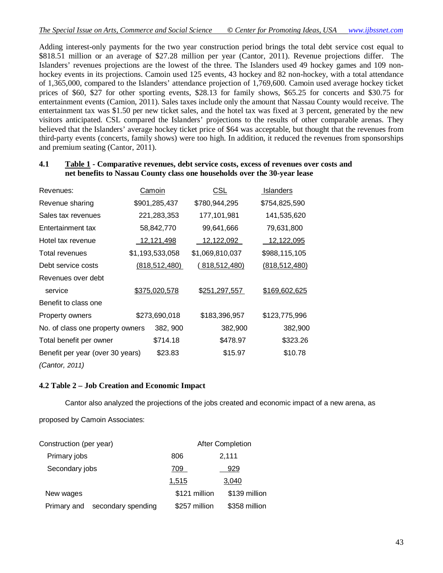Adding interest-only payments for the two year construction period brings the total debt service cost equal to \$818.51 million or an average of \$27.28 million per year (Cantor, 2011). Revenue projections differ. The Islanders' revenues projections are the lowest of the three. The Islanders used 49 hockey games and 109 nonhockey events in its projections. Camoin used 125 events, 43 hockey and 82 non-hockey, with a total attendance of 1,365,000, compared to the Islanders' attendance projection of 1,769,600. Camoin used average hockey ticket prices of \$60, \$27 for other sporting events, \$28.13 for family shows, \$65.25 for concerts and \$30.75 for entertainment events (Camion, 2011). Sales taxes include only the amount that Nassau County would receive. The entertainment tax was \$1.50 per new ticket sales, and the hotel tax was fixed at 3 percent, generated by the new visitors anticipated. CSL compared the Islanders' projections to the results of other comparable arenas. They believed that the Islanders' average hockey ticket price of \$64 was acceptable, but thought that the revenues from third-party events (concerts, family shows) were too high. In addition, it reduced the revenues from sponsorships and premium seating (Cantor, 2011).

| Revenues:                        | Camoin            |               | <u>CSL</u>           | Islanders       |
|----------------------------------|-------------------|---------------|----------------------|-----------------|
| Revenue sharing                  | \$901,285,437     |               | \$780,944,295        | \$754,825,590   |
| Sales tax revenues               |                   | 221,283,353   | 177,101,981          | 141,535,620     |
| Entertainment tax                |                   | 58,842,770    | 99,641,666           | 79,631,800      |
| Hotel tax revenue                | <u>12,121,498</u> |               | 12,122,092           | 12,122,095      |
| Total revenues                   | \$1,193,533,058   |               | \$1,069,810,037      | \$988,115,105   |
| Debt service costs               | (818, 512, 480)   |               | <u>(818,512,480)</u> | (818, 512, 480) |
| Revenues over debt               |                   |               |                      |                 |
| service                          | \$375,020,578     |               | \$251,297,557        | \$169,602,625   |
| Benefit to class one             |                   |               |                      |                 |
| Property owners                  |                   | \$273,690,018 | \$183,396,957        | \$123,775,996   |
| No. of class one property owners |                   | 382, 900      | 382,900              | 382,900         |
| Total benefit per owner          |                   | \$714.18      | \$478.97             | \$323.26        |
| Benefit per year (over 30 years) |                   | \$23.83       | \$15.97              | \$10.78         |
| (Cantor, 2011)                   |                   |               |                      |                 |

#### **4.1 Table 1 - Comparative revenues, debt service costs, excess of revenues over costs and net benefits to Nassau County class one households over the 30-year lease**

#### **4.2 Table 2 – Job Creation and Economic Impact**

Cantor also analyzed the projections of the jobs created and economic impact of a new arena, as

proposed by Camoin Associates:

| Construction (per year)           | <b>After Completion</b> |               |  |
|-----------------------------------|-------------------------|---------------|--|
| Primary jobs                      | 806                     | 2,111         |  |
| Secondary jobs                    | 709                     | 929           |  |
|                                   | 1,515                   | 3,040         |  |
| New wages                         | \$121 million           | \$139 million |  |
| secondary spending<br>Primary and | \$257 million           | \$358 million |  |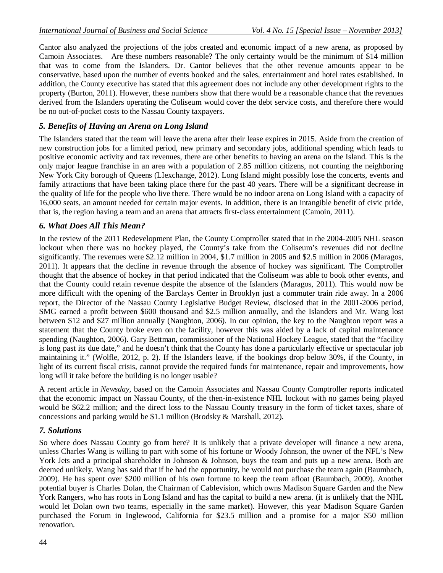Cantor also analyzed the projections of the jobs created and economic impact of a new arena, as proposed by Camoin Associates. Are these numbers reasonable? The only certainty would be the minimum of \$14 million that was to come from the Islanders. Dr. Cantor believes that the other revenue amounts appear to be conservative, based upon the number of events booked and the sales, entertainment and hotel rates established. In addition, the County executive has stated that this agreement does not include any other development rights to the property (Burton, 2011). However, these numbers show that there would be a reasonable chance that the revenues derived from the Islanders operating the Coliseum would cover the debt service costs, and therefore there would be no out-of-pocket costs to the Nassau County taxpayers.

#### *5. Benefits of Having an Arena on Long Island*

The Islanders stated that the team will leave the arena after their lease expires in 2015. Aside from the creation of new construction jobs for a limited period, new primary and secondary jobs, additional spending which leads to positive economic activity and tax revenues, there are other benefits to having an arena on the Island. This is the only major league franchise in an area with a population of 2.85 million citizens, not counting the neighboring New York City borough of Queens (LIexchange, 2012). Long Island might possibly lose the concerts, events and family attractions that have been taking place there for the past 40 years. There will be a significant decrease in the quality of life for the people who live there. There would be no indoor arena on Long Island with a capacity of 16,000 seats, an amount needed for certain major events. In addition, there is an intangible benefit of civic pride, that is, the region having a team and an arena that attracts first-class entertainment (Camoin, 2011).

#### *6. What Does All This Mean?*

In the review of the 2011 Redevelopment Plan, the County Comptroller stated that in the 2004-2005 NHL season lockout when there was no hockey played, the County's take from the Coliseum's revenues did not decline significantly. The revenues were \$2.12 million in 2004, \$1.7 million in 2005 and \$2.5 million in 2006 (Maragos, 2011). It appears that the decline in revenue through the absence of hockey was significant. The Comptroller thought that the absence of hockey in that period indicated that the Coliseum was able to book other events, and that the County could retain revenue despite the absence of the Islanders (Maragos, 2011). This would now be more difficult with the opening of the Barclays Center in Brooklyn just a commuter train ride away. In a 2006 report, the Director of the Nassau County Legislative Budget Review, disclosed that in the 2001-2006 period, SMG earned a profit between \$600 thousand and \$2.5 million annually, and the Islanders and Mr. Wang lost between \$12 and \$27 million annually (Naughton, 2006). In our opinion, the key to the Naughton report was a statement that the County broke even on the facility, however this was aided by a lack of capital maintenance spending (Naughton, 2006). Gary Bettman, commissioner of the National Hockey League, stated that the "facility is long past its due date," and he doesn't think that the County has done a particularly effective or spectacular job maintaining it." (Wolfle, 2012, p. 2). If the Islanders leave, if the bookings drop below 30%, if the County, in light of its current fiscal crisis, cannot provide the required funds for maintenance, repair and improvements, how long will it take before the building is no longer usable?

A recent article in *Newsday*, based on the Camoin Associates and Nassau County Comptroller reports indicated that the economic impact on Nassau County, of the then-in-existence NHL lockout with no games being played would be \$62.2 million; and the direct loss to the Nassau County treasury in the form of ticket taxes, share of concessions and parking would be \$1.1 million (Brodsky & Marshall, 2012).

#### *7. Solutions*

So where does Nassau County go from here? It is unlikely that a private developer will finance a new arena, unless Charles Wang is willing to part with some of his fortune or Woody Johnson, the owner of the NFL's New York Jets and a principal shareholder in Johnson & Johnson, buys the team and puts up a new arena. Both are deemed unlikely. Wang has said that if he had the opportunity, he would not purchase the team again (Baumbach, 2009). He has spent over \$200 million of his own fortune to keep the team afloat (Baumbach, 2009). Another potential buyer is Charles Dolan, the Chairman of Cablevision, which owns Madison Square Garden and the New York Rangers, who has roots in Long Island and has the capital to build a new arena. (it is unlikely that the NHL would let Dolan own two teams, especially in the same market). However, this year Madison Square Garden purchased the Forum in Inglewood, California for \$23.5 million and a promise for a major \$50 million renovation.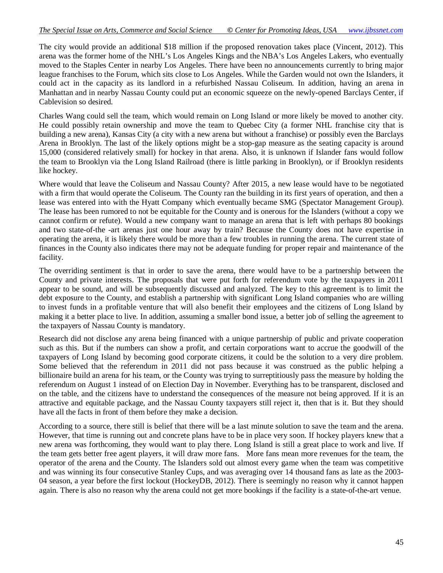The city would provide an additional \$18 million if the proposed renovation takes place (Vincent, 2012). This arena was the former home of the NHL's Los Angeles Kings and the NBA's Los Angeles Lakers, who eventually moved to the Staples Center in nearby Los Angeles. There have been no announcements currently to bring major league franchises to the Forum, which sits close to Los Angeles. While the Garden would not own the Islanders, it could act in the capacity as its landlord in a refurbished Nassau Coliseum. In addition, having an arena in Manhattan and in nearby Nassau County could put an economic squeeze on the newly-opened Barclays Center, if Cablevision so desired.

Charles Wang could sell the team, which would remain on Long Island or more likely be moved to another city. He could possibly retain ownership and move the team to Quebec City (a former NHL franchise city that is building a new arena), Kansas City (a city with a new arena but without a franchise) or possibly even the Barclays Arena in Brooklyn. The last of the likely options might be a stop-gap measure as the seating capacity is around 15,000 (considered relatively small) for hockey in that arena. Also, it is unknown if Islander fans would follow the team to Brooklyn via the Long Island Railroad (there is little parking in Brooklyn), or if Brooklyn residents like hockey.

Where would that leave the Coliseum and Nassau County? After 2015, a new lease would have to be negotiated with a firm that would operate the Coliseum. The County ran the building in its first years of operation, and then a lease was entered into with the Hyatt Company which eventually became SMG (Spectator Management Group). The lease has been rumored to not be equitable for the County and is onerous for the Islanders (without a copy we cannot confirm or refute). Would a new company want to manage an arena that is left with perhaps 80 bookings and two state-of-the -art arenas just one hour away by train? Because the County does not have expertise in operating the arena, it is likely there would be more than a few troubles in running the arena. The current state of finances in the County also indicates there may not be adequate funding for proper repair and maintenance of the facility.

The overriding sentiment is that in order to save the arena, there would have to be a partnership between the County and private interests. The proposals that were put forth for referendum vote by the taxpayers in 2011 appear to be sound, and will be subsequently discussed and analyzed. The key to this agreement is to limit the debt exposure to the County, and establish a partnership with significant Long Island companies who are willing to invest funds in a profitable venture that will also benefit their employees and the citizens of Long Island by making it a better place to live. In addition, assuming a smaller bond issue, a better job of selling the agreement to the taxpayers of Nassau County is mandatory.

Research did not disclose any arena being financed with a unique partnership of public and private cooperation such as this. But if the numbers can show a profit, and certain corporations want to accrue the goodwill of the taxpayers of Long Island by becoming good corporate citizens, it could be the solution to a very dire problem. Some believed that the referendum in 2011 did not pass because it was construed as the public helping a billionaire build an arena for his team, or the County was trying to surreptitiously pass the measure by holding the referendum on August 1 instead of on Election Day in November. Everything has to be transparent, disclosed and on the table, and the citizens have to understand the consequences of the measure not being approved. If it is an attractive and equitable package, and the Nassau County taxpayers still reject it, then that is it. But they should have all the facts in front of them before they make a decision.

According to a source, there still is belief that there will be a last minute solution to save the team and the arena. However, that time is running out and concrete plans have to be in place very soon. If hockey players knew that a new arena was forthcoming, they would want to play there. Long Island is still a great place to work and live. If the team gets better free agent players, it will draw more fans. More fans mean more revenues for the team, the operator of the arena and the County. The Islanders sold out almost every game when the team was competitive and was winning its four consecutive Stanley Cups, and was averaging over 14 thousand fans as late as the 2003- 04 season, a year before the first lockout (HockeyDB, 2012). There is seemingly no reason why it cannot happen again. There is also no reason why the arena could not get more bookings if the facility is a state-of-the-art venue.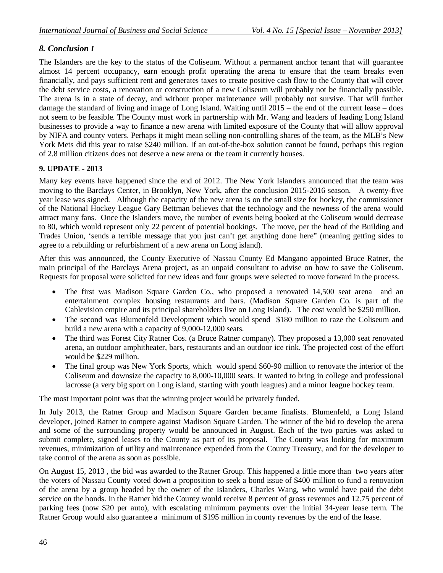## *8. Conclusion I*

The Islanders are the key to the status of the Coliseum. Without a permanent anchor tenant that will guarantee almost 14 percent occupancy, earn enough profit operating the arena to ensure that the team breaks even financially, and pays sufficient rent and generates taxes to create positive cash flow to the County that will cover the debt service costs, a renovation or construction of a new Coliseum will probably not be financially possible. The arena is in a state of decay, and without proper maintenance will probably not survive. That will further damage the standard of living and image of Long Island. Waiting until 2015 – the end of the current lease – does not seem to be feasible. The County must work in partnership with Mr. Wang and leaders of leading Long Island businesses to provide a way to finance a new arena with limited exposure of the County that will allow approval by NIFA and county voters. Perhaps it might mean selling non-controlling shares of the team, as the MLB's New York Mets did this year to raise \$240 million. If an out-of-the-box solution cannot be found, perhaps this region of 2.8 million citizens does not deserve a new arena or the team it currently houses.

## **9. UPDATE - 2013**

Many key events have happened since the end of 2012. The New York Islanders announced that the team was moving to the Barclays Center, in Brooklyn, New York, after the conclusion 2015-2016 season. A twenty-five year lease was signed. Although the capacity of the new arena is on the small size for hockey, the commissioner of the National Hockey League Gary Bettman believes that the technology and the newness of the arena would attract many fans. Once the Islanders move, the number of events being booked at the Coliseum would decrease to 80, which would represent only 22 percent of potential bookings. The move, per the head of the Building and Trades Union, 'sends a terrible message that you just can't get anything done here" (meaning getting sides to agree to a rebuilding or refurbishment of a new arena on Long island).

After this was announced, the County Executive of Nassau County Ed Mangano appointed Bruce Ratner, the main principal of the Barclays Arena project, as an unpaid consultant to advise on how to save the Coliseum. Requests for proposal were solicited for new ideas and four groups were selected to move forward in the process.

- The first was Madison Square Garden Co., who proposed a renovated 14,500 seat arena and an entertainment complex housing restaurants and bars. (Madison Square Garden Co. is part of the Cablevision empire and its principal shareholders live on Long Island). The cost would be \$250 million.
- The second was Blumenfeld Development which would spend \$180 million to raze the Coliseum and build a new arena with a capacity of 9,000-12,000 seats.
- The third was Forest City Ratner Cos. (a Bruce Ratner company). They proposed a 13,000 seat renovated arena, an outdoor amphitheater, bars, restaurants and an outdoor ice rink. The projected cost of the effort would be \$229 million.
- The final group was New York Sports, which would spend \$60-90 million to renovate the interior of the Coliseum and downsize the capacity to 8,000-10,000 seats. It wanted to bring in college and professional lacrosse (a very big sport on Long island, starting with youth leagues) and a minor league hockey team.

The most important point was that the winning project would be privately funded.

In July 2013, the Ratner Group and Madison Square Garden became finalists. Blumenfeld, a Long Island developer, joined Ratner to compete against Madison Square Garden. The winner of the bid to develop the arena and some of the surrounding property would be announced in August. Each of the two parties was asked to submit complete, signed leases to the County as part of its proposal. The County was looking for maximum revenues, minimization of utility and maintenance expended from the County Treasury, and for the developer to take control of the arena as soon as possible.

On August 15, 2013 , the bid was awarded to the Ratner Group. This happened a little more than two years after the voters of Nassau County voted down a proposition to seek a bond issue of \$400 million to fund a renovation of the arena by a group headed by the owner of the Islanders, Charles Wang, who would have paid the debt service on the bonds. In the Ratner bid the County would receive 8 percent of gross revenues and 12.75 percent of parking fees (now \$20 per auto), with escalating minimum payments over the initial 34-year lease term. The Ratner Group would also guarantee a minimum of \$195 million in county revenues by the end of the lease.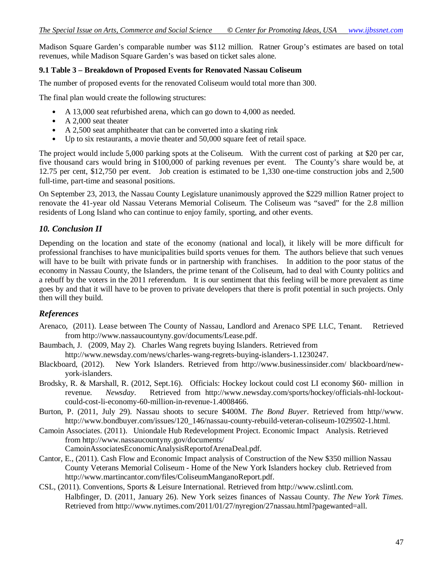Madison Square Garden's comparable number was \$112 million. Ratner Group's estimates are based on total revenues, while Madison Square Garden's was based on ticket sales alone.

#### **9.1 Table 3 – Breakdown of Proposed Events for Renovated Nassau Coliseum**

The number of proposed events for the renovated Coliseum would total more than 300.

The final plan would create the following structures:

- A 13,000 seat refurbished arena, which can go down to 4,000 as needed.
- A 2,000 seat theater
- A 2,500 seat amphitheater that can be converted into a skating rink
- Up to six restaurants, a movie theater and 50,000 square feet of retail space.

The project would include 5,000 parking spots at the Coliseum. With the current cost of parking at \$20 per car, five thousand cars would bring in \$100,000 of parking revenues per event. The County's share would be, at 12.75 per cent, \$12,750 per event. Job creation is estimated to be 1,330 one-time construction jobs and 2,500 full-time, part-time and seasonal positions.

On September 23, 2013, the Nassau County Legislature unanimously approved the \$229 million Ratner project to renovate the 41-year old Nassau Veterans Memorial Coliseum. The Coliseum was "saved" for the 2.8 million residents of Long Island who can continue to enjoy family, sporting, and other events.

#### *10. Conclusion II*

Depending on the location and state of the economy (national and local), it likely will be more difficult for professional franchises to have municipalities build sports venues for them. The authors believe that such venues will have to be built with private funds or in partnership with franchises. In addition to the poor status of the economy in Nassau County, the Islanders, the prime tenant of the Coliseum, had to deal with County politics and a rebuff by the voters in the 2011 referendum. It is our sentiment that this feeling will be more prevalent as time goes by and that it will have to be proven to private developers that there is profit potential in such projects. Only then will they build.

#### *References*

- Arenaco, (2011). Lease between The County of Nassau, Landlord and Arenaco SPE LLC, Tenant. Retrieved from http://www.nassaucountyny.gov/documents/Lease.pdf.
- Baumbach, J. (2009, May 2). Charles Wang regrets buying Islanders. Retrieved from http://www.newsday.com/news/charles-wang-regrets-buying-islanders-1.1230247.
- Blackboard, (2012). New York Islanders. Retrieved from http://www.businessinsider.com/ blackboard/newyork-islanders.
- Brodsky, R. & Marshall, R. (2012, Sept.16). Officials: Hockey lockout could cost LI economy \$60- million in revenue. *Newsday*. Retrieved from http://www.newsday.com/sports/hockey/officials-nhl-lockoutcould-cost-li-economy-60-million-in-revenue-1.4008466.
- Burton, P. (2011, July 29). Nassau shoots to secure \$400M. *The Bond Buyer*. Retrieved from http//www. http://www.bondbuyer.com/issues/120\_146/nassau-county-rebuild-veteran-coliseum-1029502-1.html.
- Camoin Associates. (2011). Uniondale Hub Redevelopment Project. Economic Impact Analysis. Retrieved from http://www.nassaucountyny.gov/documents/ CamoinAssociatesEconomicAnalysisReportofArenaDeal.pdf.
- Cantor, E., (2011). Cash Flow and Economic Impact analysis of Construction of the New \$350 million Nassau County Veterans Memorial Coliseum - Home of the New York Islanders hockey club. Retrieved from http://www.martincantor.com/files/ColiseumManganoReport.pdf.
- CSL, (2011). Conventions, Sports & Leisure International. Retrieved from http://www.cslintl.com. Halbfinger, D. (2011, January 26). New York seizes finances of Nassau County. *The New York Times.* Retrieved from http://www.nytimes.com/2011/01/27/nyregion/27nassau.html?pagewanted=all.